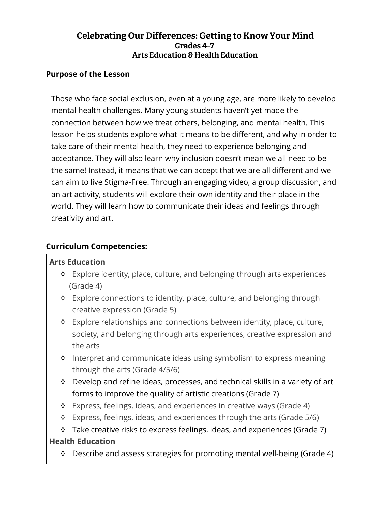## **Celebrating Our Differences: Getting to Know Your Mind Grades 4-7 Arts Education & Health Education**

### **Purpose of the Lesson**

Those who face social exclusion, even at a young age, are more likely to develop mental health challenges. Many young students haven't yet made the connection between how we treat others, belonging, and mental health. This lesson helps students explore what it means to be different, and why in order to take care of their mental health, they need to experience belonging and acceptance. They will also learn why inclusion doesn't mean we all need to be the same! Instead, it means that we can accept that we are all different and we can aim to live Stigma-Free. Through an engaging video, a group discussion, and an art activity, students will explore their own identity and their place in the world. They will learn how to communicate their ideas and feelings through creativity and art.

## **Curriculum Competencies:**

#### **Arts Education**

- ◊ Explore identity, place, culture, and belonging through arts experiences (Grade 4)
- ◊ Explore connections to identity, place, culture, and belonging through creative expression (Grade 5)
- ◊ Explore relationships and connections between identity, place, culture, society, and belonging through arts experiences, creative expression and the arts
- ◊ Interpret and communicate ideas using symbolism to express meaning through the arts (Grade 4/5/6)
- ◊ Develop and refine ideas, processes, and technical skills in a variety of art forms to improve the quality of artistic creations (Grade 7)
- ◊ Express, feelings, ideas, and experiences in creative ways (Grade 4)
- ◊ Express, feelings, ideas, and experiences through the arts (Grade 5/6)
- ◊ Take creative risks to express feelings, ideas, and experiences (Grade 7)

### **Health Education**

◊ Describe and assess strategies for promoting mental well-being (Grade 4)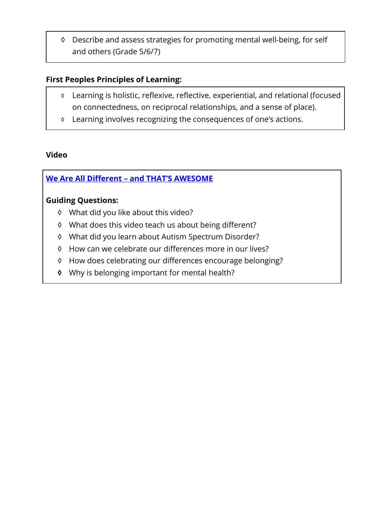◊ Describe and assess strategies for promoting mental well-being, for self and others (Grade 5/6/7)

### **First Peoples Principles of Learning:**

- ◊ Learning is holistic, reflexive, reflective, experiential, and relational (focused on connectedness, on reciprocal relationships, and a sense of place).
- ◊ Learning involves recognizing the consequences of one's actions.

### **Video**

# **[We Are All Different – and THAT'S AWESOME](https://www.youtube.com/watch?v=sQuM5e0QGLg)**

### **Guiding Questions:**

- ◊ What did you like about this video?
- ◊ What does this video teach us about being different?
- ◊ What did you learn about Autism Spectrum Disorder?
- ◊ How can we celebrate our differences more in our lives?
- ◊ How does celebrating our differences encourage belonging?
- **◊** Why is belonging important for mental health?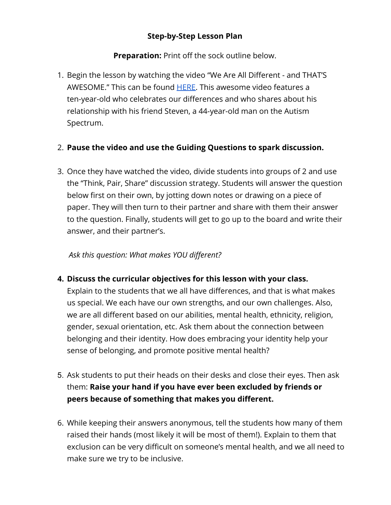## **Step-by-Step Lesson Plan**

**Preparation:** Print off the sock outline below.

1. Begin the lesson by watching the video "We Are All Different - and THAT'S AWESOME." This can be found [HERE.](https://www.youtube.com/watch?v=sQuM5e0QGLg) This awesome video features a ten-year-old who celebrates our differences and who shares about his relationship with his friend Steven, a 44-year-old man on the Autism Spectrum.

## 2. **Pause the video and use the Guiding Questions to spark discussion.**

3. Once they have watched the video, divide students into groups of 2 and use the "Think, Pair, Share" discussion strategy. Students will answer the question below first on their own, by jotting down notes or drawing on a piece of paper. They will then turn to their partner and share with them their answer to the question. Finally, students will get to go up to the board and write their answer, and their partner's.

# *Ask this question: What makes YOU different?*

**4. Discuss the curricular objectives for this lesson with your class.**

Explain to the students that we all have differences, and that is what makes us special. We each have our own strengths, and our own challenges. Also, we are all different based on our abilities, mental health, ethnicity, religion, gender, sexual orientation, etc. Ask them about the connection between belonging and their identity. How does embracing your identity help your sense of belonging, and promote positive mental health?

- 5. Ask students to put their heads on their desks and close their eyes. Then ask them: **Raise your hand if you have ever been excluded by friends or peers because of something that makes you different.**
- 6. While keeping their answers anonymous, tell the students how many of them raised their hands (most likely it will be most of them!). Explain to them that exclusion can be very difficult on someone's mental health, and we all need to make sure we try to be inclusive.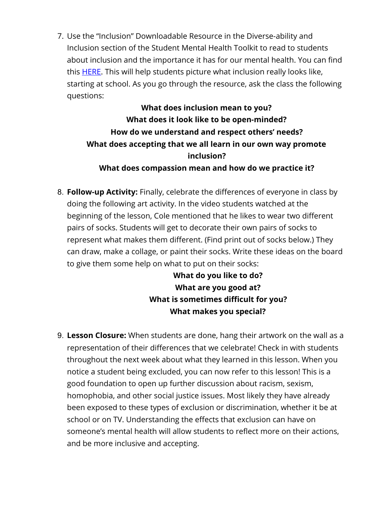7. Use the "Inclusion" Downloadable Resource in the Diverse-ability and Inclusion section of the Student Mental Health Toolkit to read to students about inclusion and the importance it has for our mental health. You can find this **HERE**. This will help students picture what inclusion really looks like, starting at school. As you go through the resource, ask the class the following questions:

# **What does inclusion mean to you? What does it look like to be open-minded? How do we understand and respect others' needs? What does accepting that we all learn in our own way promote inclusion? What does compassion mean and how do we practice it?**

8. **Follow-up Activity:** Finally, celebrate the differences of everyone in class by doing the following art activity. In the video students watched at the beginning of the lesson, Cole mentioned that he likes to wear two different pairs of socks. Students will get to decorate their own pairs of socks to represent what makes them different. (Find print out of socks below.) They can draw, make a collage, or paint their socks. Write these ideas on the board to give them some help on what to put on their socks:

> **What do you like to do? What are you good at? What is sometimes difficult for you? What makes you special?**

9. **Lesson Closure:** When students are done, hang their artwork on the wall as a representation of their differences that we celebrate! Check in with students throughout the next week about what they learned in this lesson. When you notice a student being excluded, you can now refer to this lesson! This is a good foundation to open up further discussion about racism, sexism, homophobia, and other social justice issues. Most likely they have already been exposed to these types of exclusion or discrimination, whether it be at school or on TV. Understanding the effects that exclusion can have on someone's mental health will allow students to reflect more on their actions, and be more inclusive and accepting.